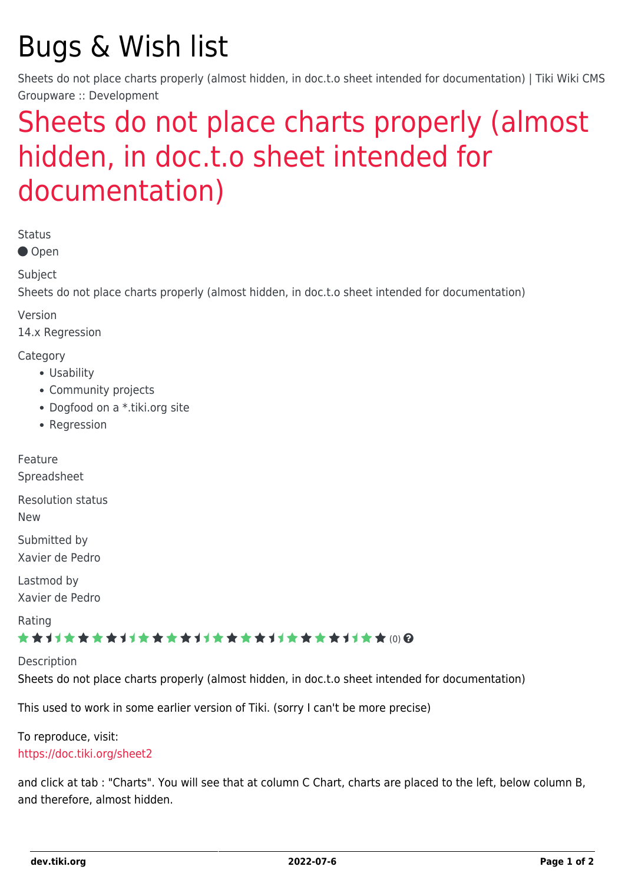# Bugs & Wish list

Sheets do not place charts properly (almost hidden, in doc.t.o sheet intended for documentation) | Tiki Wiki CMS Groupware :: Development

## [Sheets do not place charts properly \(almost](https://dev.tiki.org/item5784-Sheets-do-not-place-charts-properly-almost-hidden-in-doc-t-o-sheet-intended-for-documentation) [hidden, in doc.t.o sheet intended for](https://dev.tiki.org/item5784-Sheets-do-not-place-charts-properly-almost-hidden-in-doc-t-o-sheet-intended-for-documentation) [documentation\)](https://dev.tiki.org/item5784-Sheets-do-not-place-charts-properly-almost-hidden-in-doc-t-o-sheet-intended-for-documentation)

Status

● Open

Subject

Sheets do not place charts properly (almost hidden, in doc.t.o sheet intended for documentation)

Version

14.x Regression

Category

- Usability
- Community projects
- Dogfood on a \*.tiki.org site
- Regression

Feature

Spreadsheet

Resolution status

New

Submitted by Xavier de Pedro

Lastmod by Xavier de Pedro

Rating

#### \*\*\*\*\*\*\*\*\*\*\*\*\*\*\*\*\*\*\*\*\*\*\*\*\*\*\*\*\*\*

Description

Sheets do not place charts properly (almost hidden, in doc.t.o sheet intended for documentation)

This used to work in some earlier version of Tiki. (sorry I can't be more precise)

To reproduce, visit: <https://doc.tiki.org/sheet2>

and click at tab : "Charts". You will see that at column C Chart, charts are placed to the left, below column B, and therefore, almost hidden.